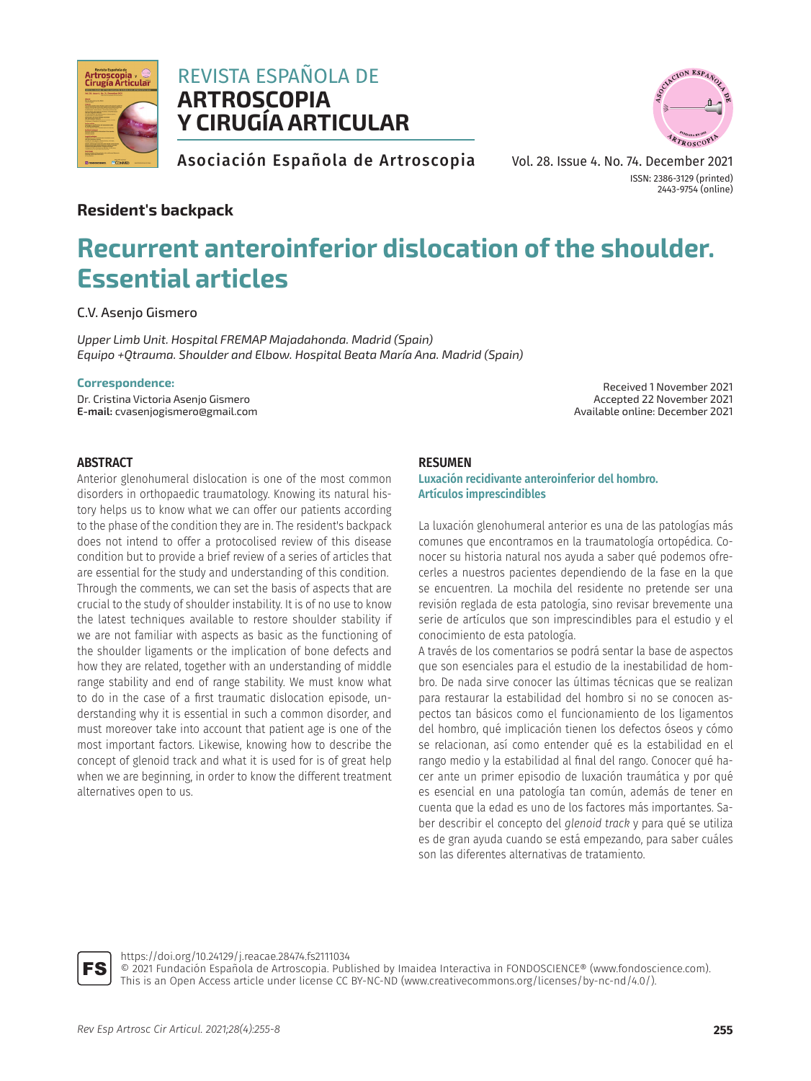

# REVISTA ESPAÑOLA DE **ARTROSCOPIA Y CIRUGÍA ARTICULAR**



Asociación Española de Artroscopia

Vol. 28. Issue 4. No. 74. December 2021 ISSN: 2386-3129 (printed) 2443-9754 (online)

# **Resident's backpack**

# **Recurrent anteroinferior dislocation of the shoulder. Essential articles**

C.V. Asenjo Gismero

*Upper Limb Unit. Hospital FREMAP Majadahonda. Madrid (Spain) Equipo +Qtrauma. Shoulder and Elbow. Hospital Beata María Ana. Madrid (Spain)*

#### **Correspondence:**

Dr. Cristina Victoria Asenjo Gismero **E-mail:** cvasenjogismero@gmail.com

Received 1 November 2021 Accepted 22 November 2021 Available online: December 2021

### **ABSTRACT**

Anterior glenohumeral dislocation is one of the most common disorders in orthopaedic traumatology. Knowing its natural history helps us to know what we can offer our patients according to the phase of the condition they are in. The resident's backpack does not intend to offer a protocolised review of this disease condition but to provide a brief review of a series of articles that are essential for the study and understanding of this condition. Through the comments, we can set the basis of aspects that are crucial to the study of shoulder instability. It is of no use to know the latest techniques available to restore shoulder stability if we are not familiar with aspects as basic as the functioning of the shoulder ligaments or the implication of bone defects and how they are related, together with an understanding of middle range stability and end of range stability. We must know what to do in the case of a first traumatic dislocation episode, understanding why it is essential in such a common disorder, and must moreover take into account that patient age is one of the most important factors. Likewise, knowing how to describe the concept of glenoid track and what it is used for is of great help when we are beginning, in order to know the different treatment alternatives open to us.

#### **RESUMEN**

#### **Luxación recidivante anteroinferior del hombro. Artículos imprescindibles**

La luxación glenohumeral anterior es una de las patologías más comunes que encontramos en la traumatología ortopédica. Conocer su historia natural nos ayuda a saber qué podemos ofrecerles a nuestros pacientes dependiendo de la fase en la que se encuentren. La mochila del residente no pretende ser una revisión reglada de esta patología, sino revisar brevemente una serie de artículos que son imprescindibles para el estudio y el conocimiento de esta patología.

A través de los comentarios se podrá sentar la base de aspectos que son esenciales para el estudio de la inestabilidad de hombro. De nada sirve conocer las últimas técnicas que se realizan para restaurar la estabilidad del hombro si no se conocen aspectos tan básicos como el funcionamiento de los ligamentos del hombro, qué implicación tienen los defectos óseos y cómo se relacionan, así como entender qué es la estabilidad en el rango medio y la estabilidad al final del rango. Conocer qué hacer ante un primer episodio de luxación traumática y por qué es esencial en una patología tan común, además de tener en cuenta que la edad es uno de los factores más importantes. Saber describir el concepto del *glenoid track* y para qué se utiliza es de gran ayuda cuando se está empezando, para saber cuáles son las diferentes alternativas de tratamiento.



https://doi.org/10.24129/j.reacae.28474.fs2111034

© 2021 Fundación Española de Artroscopia. Published by Imaidea Interactiva in FONDOSCIENCE® (www.fondoscience.com). This is an Open Access article under license CC BY-NC-ND (www.creativecommons.org/licenses/by-nc-nd/4.0/).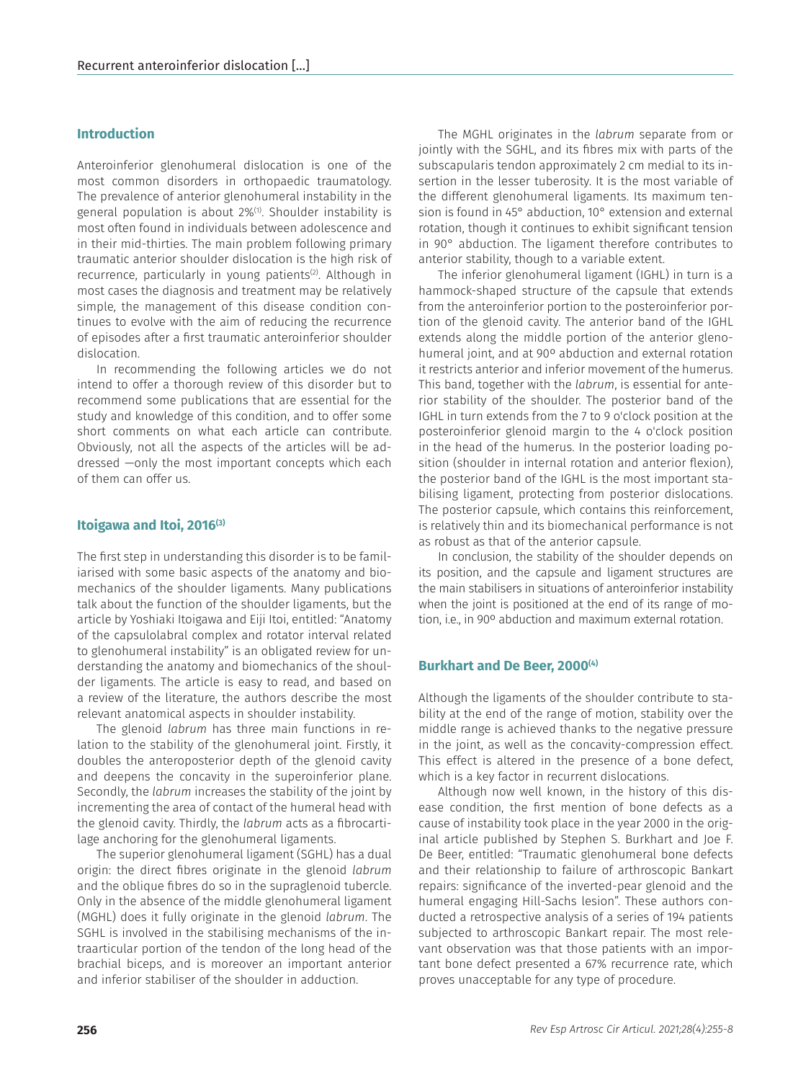#### **Introduction**

Anteroinferior glenohumeral dislocation is one of the most common disorders in orthopaedic traumatology. The prevalence of anterior glenohumeral instability in the general population is about 2%(1). Shoulder instability is most often found in individuals between adolescence and in their mid-thirties. The main problem following primary traumatic anterior shoulder dislocation is the high risk of recurrence, particularly in young patients<sup>(2)</sup>. Although in most cases the diagnosis and treatment may be relatively simple, the management of this disease condition continues to evolve with the aim of reducing the recurrence of episodes after a first traumatic anteroinferior shoulder dislocation.

In recommending the following articles we do not intend to offer a thorough review of this disorder but to recommend some publications that are essential for the study and knowledge of this condition, and to offer some short comments on what each article can contribute. Obviously, not all the aspects of the articles will be addressed —only the most important concepts which each of them can offer us.

#### **Itoigawa and Itoi, 2016(3)**

The first step in understanding this disorder is to be familiarised with some basic aspects of the anatomy and biomechanics of the shoulder ligaments. Many publications talk about the function of the shoulder ligaments, but the article by Yoshiaki Itoigawa and Eiji Itoi, entitled: "Anatomy of the capsulolabral complex and rotator interval related to glenohumeral instability" is an obligated review for understanding the anatomy and biomechanics of the shoulder ligaments. The article is easy to read, and based on a review of the literature, the authors describe the most relevant anatomical aspects in shoulder instability.

The glenoid *labrum* has three main functions in relation to the stability of the glenohumeral joint. Firstly, it doubles the anteroposterior depth of the glenoid cavity and deepens the concavity in the superoinferior plane. Secondly, the *labrum* increases the stability of the joint by incrementing the area of contact of the humeral head with the glenoid cavity. Thirdly, the *labrum* acts as a fibrocartilage anchoring for the glenohumeral ligaments.

The superior glenohumeral ligament (SGHL) has a dual origin: the direct fibres originate in the glenoid *labrum* and the oblique fibres do so in the supraglenoid tubercle. Only in the absence of the middle glenohumeral ligament (MGHL) does it fully originate in the glenoid *labrum*. The SGHL is involved in the stabilising mechanisms of the intraarticular portion of the tendon of the long head of the brachial biceps, and is moreover an important anterior and inferior stabiliser of the shoulder in adduction.

The MGHL originates in the *labrum* separate from or jointly with the SGHL, and its fibres mix with parts of the subscapularis tendon approximately 2 cm medial to its insertion in the lesser tuberosity. It is the most variable of the different glenohumeral ligaments. Its maximum tension is found in 45° abduction, 10° extension and external rotation, though it continues to exhibit significant tension in 90° abduction. The ligament therefore contributes to anterior stability, though to a variable extent.

The inferior glenohumeral ligament (IGHL) in turn is a hammock-shaped structure of the capsule that extends from the anteroinferior portion to the posteroinferior portion of the glenoid cavity. The anterior band of the IGHL extends along the middle portion of the anterior glenohumeral joint, and at 90º abduction and external rotation it restricts anterior and inferior movement of the humerus. This band, together with the *labrum*, is essential for anterior stability of the shoulder. The posterior band of the IGHL in turn extends from the 7 to 9 o'clock position at the posteroinferior glenoid margin to the 4 o'clock position in the head of the humerus. In the posterior loading position (shoulder in internal rotation and anterior flexion), the posterior band of the IGHL is the most important stabilising ligament, protecting from posterior dislocations. The posterior capsule, which contains this reinforcement, is relatively thin and its biomechanical performance is not as robust as that of the anterior capsule.

In conclusion, the stability of the shoulder depends on its position, and the capsule and ligament structures are the main stabilisers in situations of anteroinferior instability when the joint is positioned at the end of its range of motion, i.e., in 90º abduction and maximum external rotation.

#### **Burkhart and De Beer, 2000(4)**

Although the ligaments of the shoulder contribute to stability at the end of the range of motion, stability over the middle range is achieved thanks to the negative pressure in the joint, as well as the concavity-compression effect. This effect is altered in the presence of a bone defect, which is a key factor in recurrent dislocations.

Although now well known, in the history of this disease condition, the first mention of bone defects as a cause of instability took place in the year 2000 in the original article published by Stephen S. Burkhart and Joe F. De Beer, entitled: "Traumatic glenohumeral bone defects and their relationship to failure of arthroscopic Bankart repairs: significance of the inverted-pear glenoid and the humeral engaging Hill-Sachs lesion". These authors conducted a retrospective analysis of a series of 194 patients subjected to arthroscopic Bankart repair. The most relevant observation was that those patients with an important bone defect presented a 67% recurrence rate, which proves unacceptable for any type of procedure.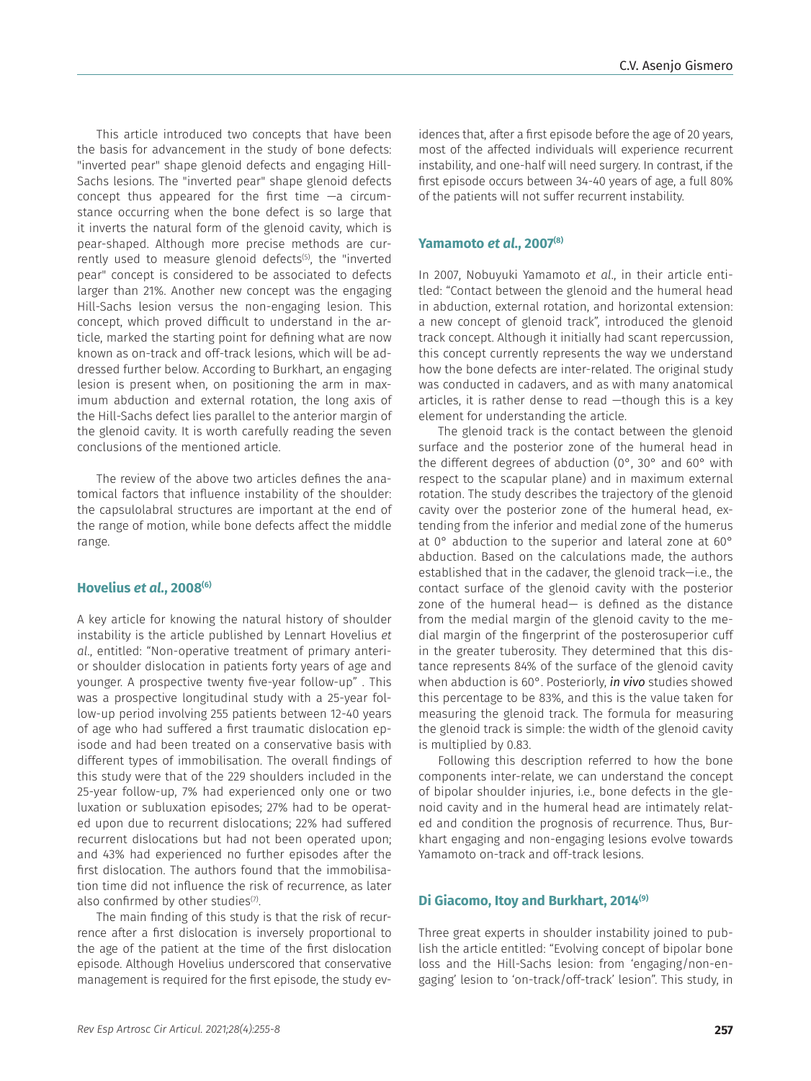This article introduced two concepts that have been the basis for advancement in the study of bone defects: "inverted pear" shape glenoid defects and engaging Hill-Sachs lesions. The "inverted pear" shape glenoid defects concept thus appeared for the first time —a circumstance occurring when the bone defect is so large that it inverts the natural form of the glenoid cavity, which is pear-shaped. Although more precise methods are currently used to measure glenoid defects<sup>(5)</sup>, the "inverted pear" concept is considered to be associated to defects larger than 21%. Another new concept was the engaging Hill-Sachs lesion versus the non-engaging lesion. This concept, which proved difficult to understand in the article, marked the starting point for defining what are now known as on-track and off-track lesions, which will be addressed further below. According to Burkhart, an engaging lesion is present when, on positioning the arm in maximum abduction and external rotation, the long axis of the Hill-Sachs defect lies parallel to the anterior margin of the glenoid cavity. It is worth carefully reading the seven conclusions of the mentioned article.

The review of the above two articles defines the anatomical factors that influence instability of the shoulder: the capsulolabral structures are important at the end of the range of motion, while bone defects affect the middle range.

#### **Hovelius** *et al.***, 2008(6)**

A key article for knowing the natural history of shoulder instability is the article published by Lennart Hovelius *et al*., entitled: "Non-operative treatment of primary anterior shoulder dislocation in patients forty years of age and younger. A prospective twenty five-year follow-up" . This was a prospective longitudinal study with a 25-year follow-up period involving 255 patients between 12-40 years of age who had suffered a first traumatic dislocation episode and had been treated on a conservative basis with different types of immobilisation. The overall findings of this study were that of the 229 shoulders included in the 25-year follow-up, 7% had experienced only one or two luxation or subluxation episodes; 27% had to be operated upon due to recurrent dislocations; 22% had suffered recurrent dislocations but had not been operated upon; and 43% had experienced no further episodes after the first dislocation. The authors found that the immobilisation time did not influence the risk of recurrence, as later also confirmed by other studies $(7)$ .

The main finding of this study is that the risk of recurrence after a first dislocation is inversely proportional to the age of the patient at the time of the first dislocation episode. Although Hovelius underscored that conservative management is required for the first episode, the study evidences that, after a first episode before the age of 20 years, most of the affected individuals will experience recurrent instability, and one-half will need surgery. In contrast, if the first episode occurs between 34-40 years of age, a full 80% of the patients will not suffer recurrent instability.

#### **Yamamoto** *et al***., 2007(8)**

In 2007, Nobuyuki Yamamoto *et al*., in their article entitled: "Contact between the glenoid and the humeral head in abduction, external rotation, and horizontal extension: a new concept of glenoid track", introduced the glenoid track concept. Although it initially had scant repercussion, this concept currently represents the way we understand how the bone defects are inter-related. The original study was conducted in cadavers, and as with many anatomical articles, it is rather dense to read —though this is a key element for understanding the article.

The glenoid track is the contact between the glenoid surface and the posterior zone of the humeral head in the different degrees of abduction (0°, 30° and 60° with respect to the scapular plane) and in maximum external rotation. The study describes the trajectory of the glenoid cavity over the posterior zone of the humeral head, extending from the inferior and medial zone of the humerus at 0° abduction to the superior and lateral zone at 60° abduction. Based on the calculations made, the authors established that in the cadaver, the glenoid track—i.e., the contact surface of the glenoid cavity with the posterior zone of the humeral head— is defined as the distance from the medial margin of the glenoid cavity to the medial margin of the fingerprint of the posterosuperior cuff in the greater tuberosity. They determined that this distance represents 84% of the surface of the glenoid cavity when abduction is 60°. Posteriorly, *in vivo* studies showed this percentage to be 83%, and this is the value taken for measuring the glenoid track. The formula for measuring the glenoid track is simple: the width of the glenoid cavity is multiplied by 0.83.

Following this description referred to how the bone components inter-relate, we can understand the concept of bipolar shoulder injuries, i.e., bone defects in the glenoid cavity and in the humeral head are intimately related and condition the prognosis of recurrence. Thus, Burkhart engaging and non-engaging lesions evolve towards Yamamoto on-track and off-track lesions.

#### **Di Giacomo, Itoy and Burkhart, 2014(9)**

Three great experts in shoulder instability joined to publish the article entitled: "Evolving concept of bipolar bone loss and the Hill-Sachs lesion: from 'engaging/non-engaging' lesion to 'on-track/off-track' lesion". This study, in